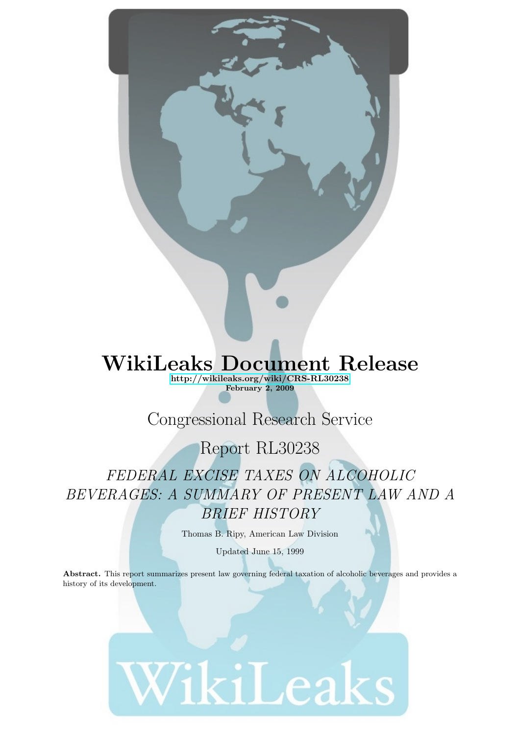# WikiLeaks Document Release

<http://wikileaks.org/wiki/CRS-RL30238> February 2, 2009

# Congressional Research Service

## Report RL30238

FEDERAL EXCISE TAXES ON ALCOHOLIC BEVERAGES: A SUMMARY OF PRESENT LAW AND A BRIEF HISTORY

Thomas B. Ripy, American Law Division

Updated June 15, 1999

Abstract. This report summarizes present law governing federal taxation of alcoholic beverages and provides a history of its development.

# WikiLeaks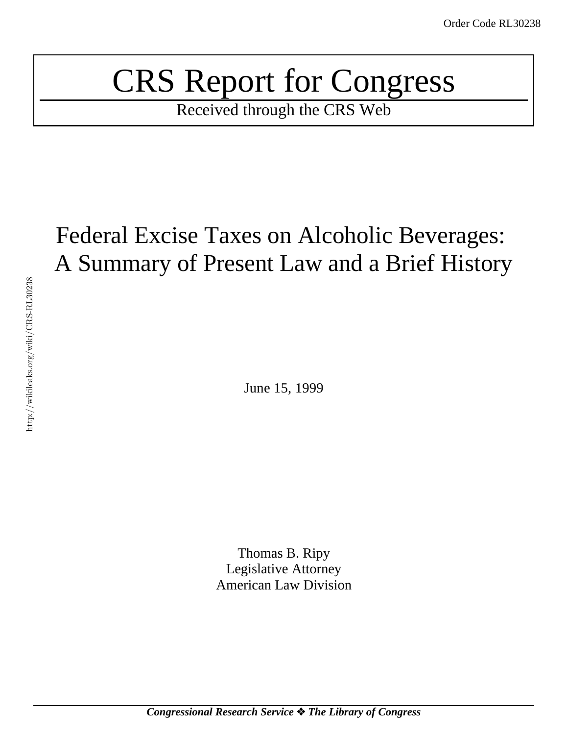# CRS Report for Congress

Received through the CRS Web

# Federal Excise Taxes on Alcoholic Beverages: A Summary of Present Law and a Brief History

June 15, 1999

Thomas B. Ripy Legislative Attorney American Law Division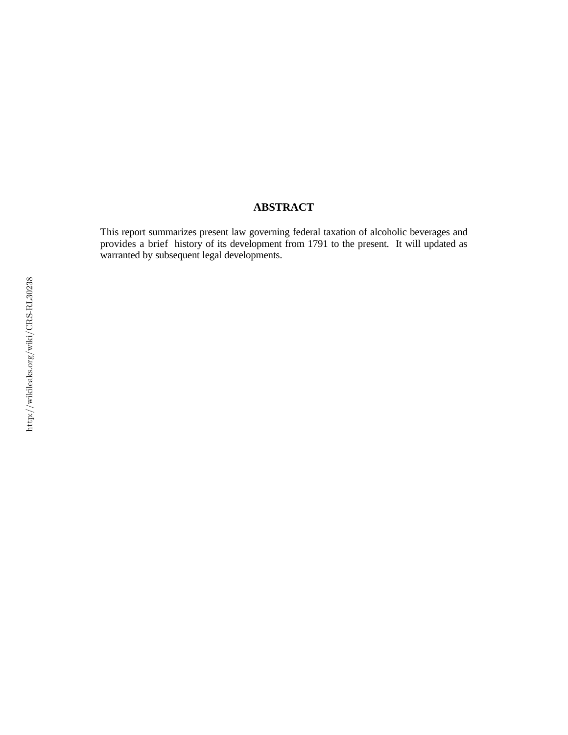#### **ABSTRACT**

This report summarizes present law governing federal taxation of alcoholic beverages and provides a brief history of its development from 1791 to the present. It will updated as warranted by subsequent legal developments.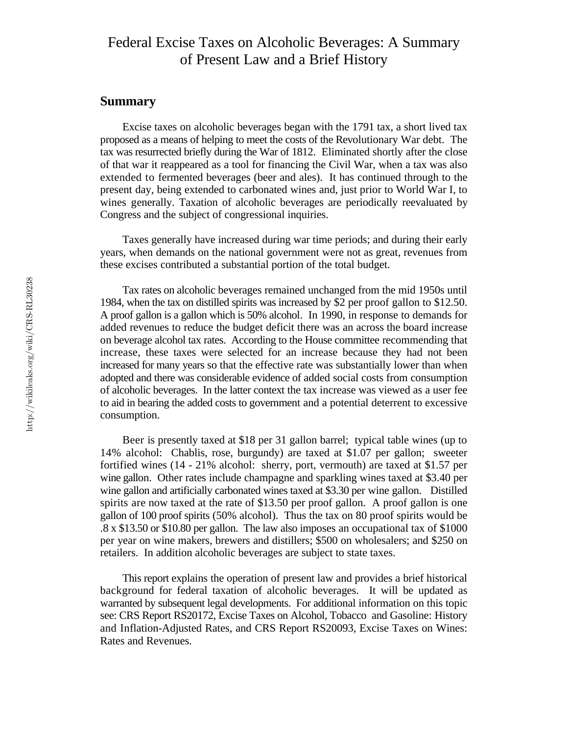#### Federal Excise Taxes on Alcoholic Beverages: A Summary of Present Law and a Brief History

#### **Summary**

Excise taxes on alcoholic beverages began with the 1791 tax, a short lived tax proposed as a means of helping to meet the costs of the Revolutionary War debt. The tax was resurrected briefly during the War of 1812. Eliminated shortly after the close of that war it reappeared as a tool for financing the Civil War, when a tax was also extended to fermented beverages (beer and ales). It has continued through to the present day, being extended to carbonated wines and, just prior to World War I, to wines generally. Taxation of alcoholic beverages are periodically reevaluated by Congress and the subject of congressional inquiries.

Taxes generally have increased during war time periods; and during their early years, when demands on the national government were not as great, revenues from these excises contributed a substantial portion of the total budget.

Tax rates on alcoholic beverages remained unchanged from the mid 1950s until 1984, when the tax on distilled spirits was increased by \$2 per proof gallon to \$12.50. A proof gallon is a gallon which is 50% alcohol. In 1990, in response to demands for added revenues to reduce the budget deficit there was an across the board increase on beverage alcohol tax rates. According to the House committee recommending that increase, these taxes were selected for an increase because they had not been increased for many years so that the effective rate was substantially lower than when adopted and there was considerable evidence of added social costs from consumption of alcoholic beverages. In the latter context the tax increase was viewed as a user fee to aid in bearing the added costs to government and a potential deterrent to excessive consumption.

Beer is presently taxed at \$18 per 31 gallon barrel; typical table wines (up to 14% alcohol: Chablis, rose, burgundy) are taxed at \$1.07 per gallon; sweeter fortified wines (14 - 21% alcohol: sherry, port, vermouth) are taxed at \$1.57 per wine gallon. Other rates include champagne and sparkling wines taxed at \$3.40 per wine gallon and artificially carbonated wines taxed at \$3.30 per wine gallon. Distilled spirits are now taxed at the rate of \$13.50 per proof gallon. A proof gallon is one gallon of 100 proof spirits (50% alcohol). Thus the tax on 80 proof spirits would be .8 x \$13.50 or \$10.80 per gallon. The law also imposes an occupational tax of \$1000 per year on wine makers, brewers and distillers; \$500 on wholesalers; and \$250 on retailers. In addition alcoholic beverages are subject to state taxes.

This report explains the operation of present law and provides a brief historical background for federal taxation of alcoholic beverages. It will be updated as warranted by subsequent legal developments. For additional information on this topic see: CRS Report RS20172, Excise Taxes on Alcohol, Tobacco and Gasoline: History and Inflation-Adjusted Rates, and CRS Report RS20093, Excise Taxes on Wines: Rates and Revenues.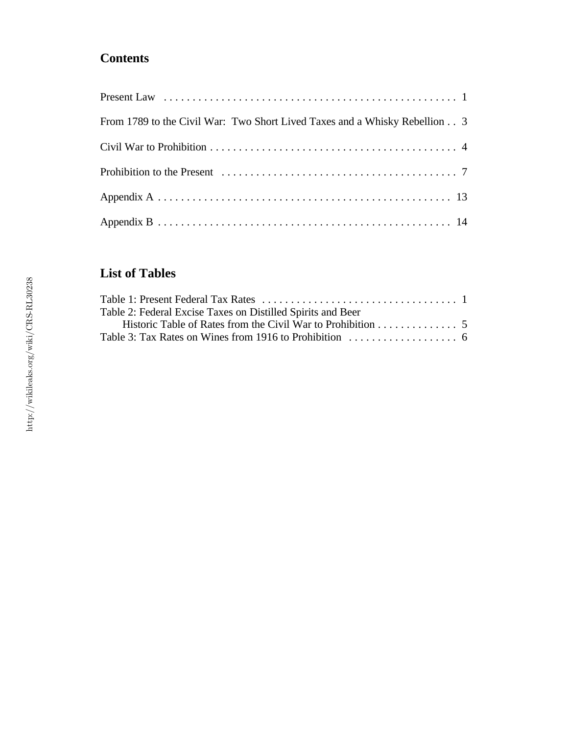## **Contents**

| From 1789 to the Civil War: Two Short Lived Taxes and a Whisky Rebellion 3 |
|----------------------------------------------------------------------------|
|                                                                            |
|                                                                            |
|                                                                            |
|                                                                            |

### **List of Tables**

| Table 2: Federal Excise Taxes on Distilled Spirits and Beer |  |
|-------------------------------------------------------------|--|
|                                                             |  |
|                                                             |  |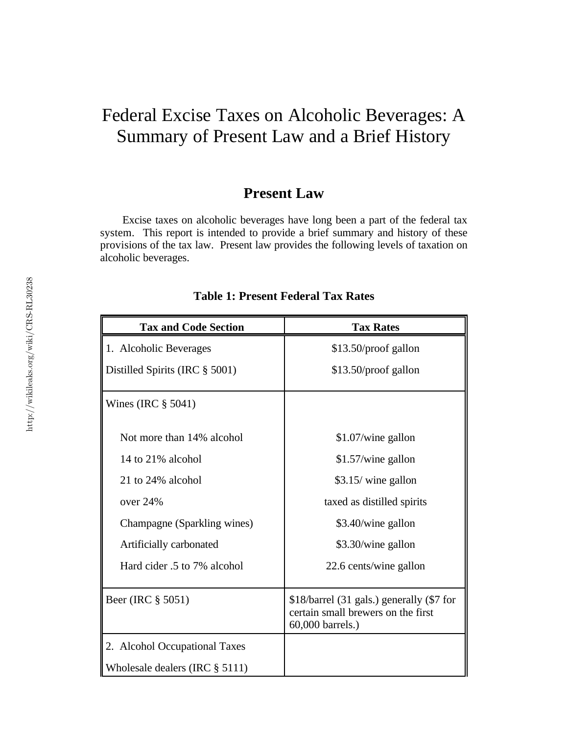# Federal Excise Taxes on Alcoholic Beverages: A Summary of Present Law and a Brief History

#### **Present Law**

Excise taxes on alcoholic beverages have long been a part of the federal tax system. This report is intended to provide a brief summary and history of these provisions of the tax law. Present law provides the following levels of taxation on alcoholic beverages.

| <b>Tax and Code Section</b>       | <b>Tax Rates</b>                                                                                    |
|-----------------------------------|-----------------------------------------------------------------------------------------------------|
| 1. Alcoholic Beverages            | \$13.50/proof gallon                                                                                |
| Distilled Spirits (IRC § 5001)    | \$13.50/proof gallon                                                                                |
| Wines (IRC $\S$ 5041)             |                                                                                                     |
| Not more than 14% alcohol         | \$1.07/wine gallon                                                                                  |
| 14 to 21% alcohol                 | \$1.57/wine gallon                                                                                  |
| 21 to 24% alcohol                 | \$3.15/ wine gallon                                                                                 |
| over 24%                          | taxed as distilled spirits                                                                          |
| Champagne (Sparkling wines)       | \$3.40/wine gallon                                                                                  |
| Artificially carbonated           | \$3.30/wine gallon                                                                                  |
| Hard cider .5 to 7% alcohol       | 22.6 cents/wine gallon                                                                              |
| Beer (IRC § 5051)                 | \$18/barrel (31 gals.) generally (\$7 for<br>certain small brewers on the first<br>60,000 barrels.) |
| 2. Alcohol Occupational Taxes     |                                                                                                     |
| Wholesale dealers (IRC $\S$ 5111) |                                                                                                     |

#### **Table 1: Present Federal Tax Rates**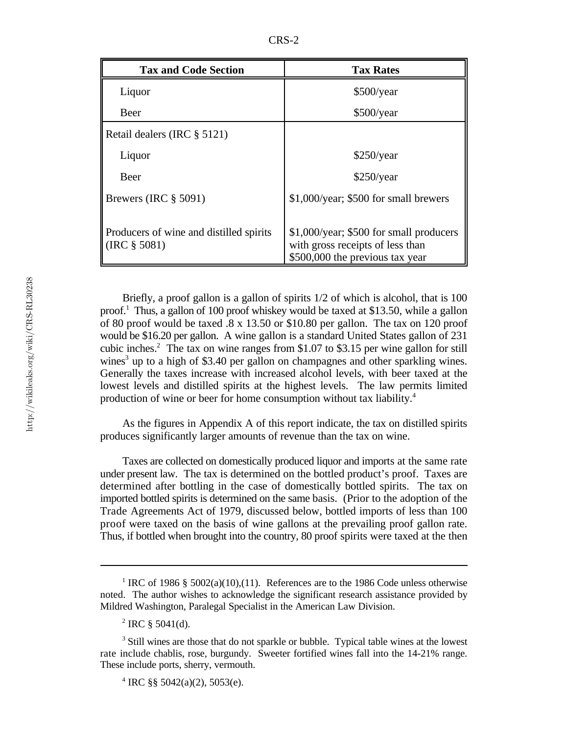| <b>Tax and Code Section</b>                                | <b>Tax Rates</b>                                                                                               |  |  |
|------------------------------------------------------------|----------------------------------------------------------------------------------------------------------------|--|--|
| Liquor                                                     | \$500/year                                                                                                     |  |  |
| Beer                                                       | \$500/year                                                                                                     |  |  |
| Retail dealers (IRC § 5121)                                |                                                                                                                |  |  |
| Liquor                                                     | \$250/year                                                                                                     |  |  |
| Beer                                                       | \$250/year                                                                                                     |  |  |
| Brewers (IRC $\S$ 5091)                                    | \$1,000/year; \$500 for small brewers                                                                          |  |  |
| Producers of wine and distilled spirits<br>$(IRC \S 5081)$ | \$1,000/year; \$500 for small producers<br>with gross receipts of less than<br>\$500,000 the previous tax year |  |  |

Briefly, a proof gallon is a gallon of spirits 1/2 of which is alcohol, that is 100 proof.<sup>1</sup> Thus, a gallon of 100 proof whiskey would be taxed at \$13.50, while a gallon of 80 proof would be taxed .8 x 13.50 or \$10.80 per gallon. The tax on 120 proof would be \$16.20 per gallon. A wine gallon is a standard United States gallon of 231 cubic inches.<sup>2</sup> The tax on wine ranges from \$1.07 to \$3.15 per wine gallon for still wines<sup>3</sup> up to a high of \$3.40 per gallon on champagnes and other sparkling wines. Generally the taxes increase with increased alcohol levels, with beer taxed at the lowest levels and distilled spirits at the highest levels. The law permits limited production of wine or beer for home consumption without tax liability.<sup>4</sup>

As the figures in Appendix A of this report indicate, the tax on distilled spirits produces significantly larger amounts of revenue than the tax on wine.

Taxes are collected on domestically produced liquor and imports at the same rate under present law. The tax is determined on the bottled product's proof. Taxes are determined after bottling in the case of domestically bottled spirits. The tax on imported bottled spirits is determined on the same basis. (Prior to the adoption of the Trade Agreements Act of 1979, discussed below, bottled imports of less than 100 proof were taxed on the basis of wine gallons at the prevailing proof gallon rate. Thus, if bottled when brought into the country, 80 proof spirits were taxed at the then

<sup>4</sup> IRC §§ 5042(a)(2), 5053(e).

<sup>&</sup>lt;sup>1</sup> IRC of 1986 § 5002(a)(10),(11). References are to the 1986 Code unless otherwise noted. The author wishes to acknowledge the significant research assistance provided by Mildred Washington, Paralegal Specialist in the American Law Division.

 $^{2}$  IRC § 5041(d).

 $3$  Still wines are those that do not sparkle or bubble. Typical table wines at the lowest rate include chablis, rose, burgundy. Sweeter fortified wines fall into the 14-21% range. These include ports, sherry, vermouth.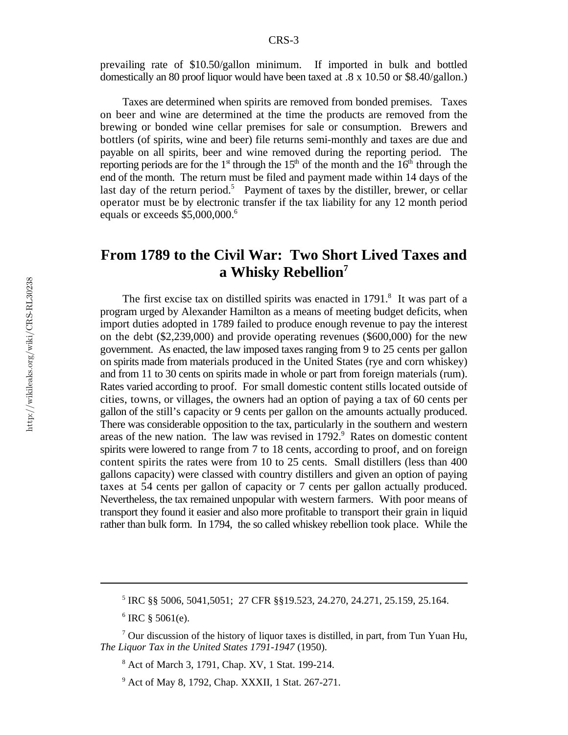prevailing rate of \$10.50/gallon minimum. If imported in bulk and bottled domestically an 80 proof liquor would have been taxed at .8 x 10.50 or \$8.40/gallon.)

Taxes are determined when spirits are removed from bonded premises. Taxes on beer and wine are determined at the time the products are removed from the brewing or bonded wine cellar premises for sale or consumption. Brewers and bottlers (of spirits, wine and beer) file returns semi-monthly and taxes are due and payable on all spirits, beer and wine removed during the reporting period. The reporting periods are for the  $1<sup>st</sup>$  through the  $15<sup>th</sup>$  of the month and the  $16<sup>th</sup>$  through the end of the month. The return must be filed and payment made within 14 days of the last day of the return period.<sup>5</sup> Payment of taxes by the distiller, brewer, or cellar operator must be by electronic transfer if the tax liability for any 12 month period equals or exceeds \$5,000,000.<sup>6</sup>

#### **From 1789 to the Civil War: Two Short Lived Taxes and a Whisky Rebellion<sup>7</sup>**

The first excise tax on distilled spirits was enacted in  $1791$ .<sup>8</sup> It was part of a program urged by Alexander Hamilton as a means of meeting budget deficits, when import duties adopted in 1789 failed to produce enough revenue to pay the interest on the debt (\$2,239,000) and provide operating revenues (\$600,000) for the new government. As enacted, the law imposed taxes ranging from 9 to 25 cents per gallon on spirits made from materials produced in the United States (rye and corn whiskey) and from 11 to 30 cents on spirits made in whole or part from foreign materials (rum). Rates varied according to proof. For small domestic content stills located outside of cities, towns, or villages, the owners had an option of paying a tax of 60 cents per gallon of the still's capacity or 9 cents per gallon on the amounts actually produced. There was considerable opposition to the tax, particularly in the southern and western areas of the new nation. The law was revised in  $1792<sup>9</sup>$  Rates on domestic content spirits were lowered to range from 7 to 18 cents, according to proof, and on foreign content spirits the rates were from 10 to 25 cents. Small distillers (less than 400 gallons capacity) were classed with country distillers and given an option of paying taxes at 54 cents per gallon of capacity or 7 cents per gallon actually produced. Nevertheless, the tax remained unpopular with western farmers. With poor means of transport they found it easier and also more profitable to transport their grain in liquid rather than bulk form. In 1794, the so called whiskey rebellion took place. While the

<sup>&</sup>lt;sup>5</sup> IRC §§ 5006, 5041,5051; 27 CFR §§19.523, 24.270, 24.271, 25.159, 25.164.

 $6$  IRC  $§$  5061(e).

 $\frac{7}{1}$  Our discussion of the history of liquor taxes is distilled, in part, from Tun Yuan Hu, *The Liquor Tax in the United States 1791-1947* (1950).

<sup>&</sup>lt;sup>8</sup> Act of March 3, 1791, Chap. XV, 1 Stat. 199-214.

<sup>&</sup>lt;sup>9</sup> Act of May 8, 1792, Chap. XXXII, 1 Stat. 267-271.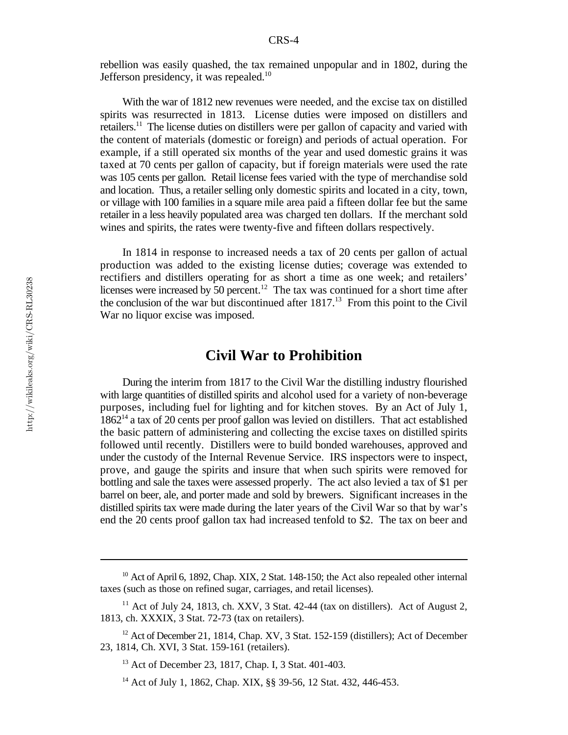rebellion was easily quashed, the tax remained unpopular and in 1802, during the Jefferson presidency, it was repealed.<sup>10</sup>

With the war of 1812 new revenues were needed, and the excise tax on distilled spirits was resurrected in 1813. License duties were imposed on distillers and retailers.<sup>11</sup> The license duties on distillers were per gallon of capacity and varied with the content of materials (domestic or foreign) and periods of actual operation. For example, if a still operated six months of the year and used domestic grains it was taxed at 70 cents per gallon of capacity, but if foreign materials were used the rate was 105 cents per gallon. Retail license fees varied with the type of merchandise sold and location. Thus, a retailer selling only domestic spirits and located in a city, town, or village with 100 families in a square mile area paid a fifteen dollar fee but the same retailer in a less heavily populated area was charged ten dollars. If the merchant sold wines and spirits, the rates were twenty-five and fifteen dollars respectively.

In 1814 in response to increased needs a tax of 20 cents per gallon of actual production was added to the existing license duties; coverage was extended to rectifiers and distillers operating for as short a time as one week; and retailers' licenses were increased by  $\overline{50}$  percent.<sup>12</sup> The tax was continued for a short time after the conclusion of the war but discontinued after  $1817$ .<sup>13</sup> From this point to the Civil War no liquor excise was imposed.

#### **Civil War to Prohibition**

During the interim from 1817 to the Civil War the distilling industry flourished with large quantities of distilled spirits and alcohol used for a variety of non-beverage purposes, including fuel for lighting and for kitchen stoves. By an Act of July 1,  $1862<sup>14</sup>$  a tax of 20 cents per proof gallon was levied on distillers. That act established the basic pattern of administering and collecting the excise taxes on distilled spirits followed until recently. Distillers were to build bonded warehouses, approved and under the custody of the Internal Revenue Service. IRS inspectors were to inspect, prove, and gauge the spirits and insure that when such spirits were removed for bottling and sale the taxes were assessed properly. The act also levied a tax of \$1 per barrel on beer, ale, and porter made and sold by brewers. Significant increases in the distilled spirits tax were made during the later years of the Civil War so that by war's end the 20 cents proof gallon tax had increased tenfold to \$2. The tax on beer and

 $10$  Act of April 6, 1892, Chap. XIX, 2 Stat. 148-150; the Act also repealed other internal taxes (such as those on refined sugar, carriages, and retail licenses).

 $11$  Act of July 24, 1813, ch. XXV, 3 Stat. 42-44 (tax on distillers). Act of August 2, 1813, ch. XXXIX, 3 Stat. 72-73 (tax on retailers).

 $12$  Act of December 21, 1814, Chap. XV, 3 Stat. 152-159 (distillers); Act of December 23, 1814, Ch. XVI, 3 Stat. 159-161 (retailers).

<sup>&</sup>lt;sup>13</sup> Act of December 23, 1817, Chap. I, 3 Stat. 401-403.

<sup>&</sup>lt;sup>14</sup> Act of July 1, 1862, Chap. XIX, §§ 39-56, 12 Stat. 432, 446-453.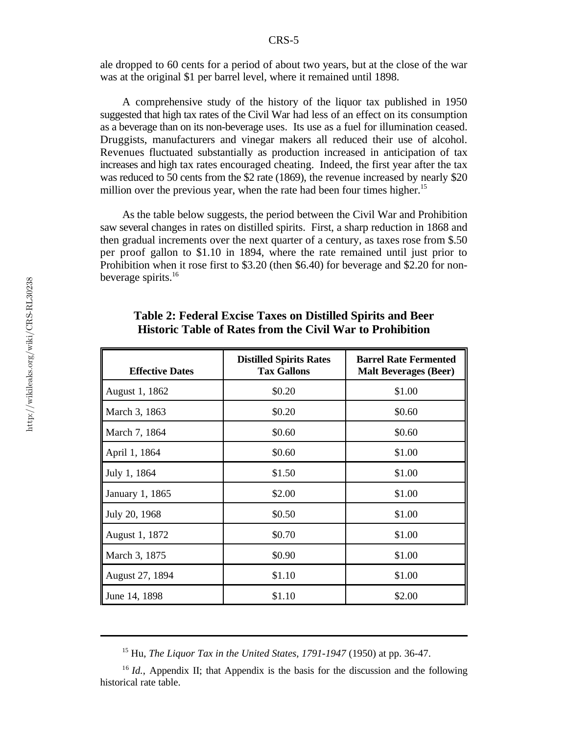ale dropped to 60 cents for a period of about two years, but at the close of the war was at the original \$1 per barrel level, where it remained until 1898.

A comprehensive study of the history of the liquor tax published in 1950 suggested that high tax rates of the Civil War had less of an effect on its consumption as a beverage than on its non-beverage uses. Its use as a fuel for illumination ceased. Druggists, manufacturers and vinegar makers all reduced their use of alcohol. Revenues fluctuated substantially as production increased in anticipation of tax increases and high tax rates encouraged cheating. Indeed, the first year after the tax was reduced to 50 cents from the \$2 rate (1869), the revenue increased by nearly \$20 million over the previous year, when the rate had been four times higher.<sup>15</sup>

As the table below suggests, the period between the Civil War and Prohibition saw several changes in rates on distilled spirits. First, a sharp reduction in 1868 and then gradual increments over the next quarter of a century, as taxes rose from \$.50 per proof gallon to \$1.10 in 1894, where the rate remained until just prior to Prohibition when it rose first to \$3.20 (then \$6.40) for beverage and \$2.20 for nonbeverage spirits.<sup>16</sup>

| <b>Effective Dates</b> | <b>Distilled Spirits Rates</b><br><b>Tax Gallons</b> | <b>Barrel Rate Fermented</b><br><b>Malt Beverages (Beer)</b> |
|------------------------|------------------------------------------------------|--------------------------------------------------------------|
| August 1, 1862         | \$0.20                                               | \$1.00                                                       |
| March 3, 1863          | \$0.20                                               | \$0.60                                                       |
| March 7, 1864          | \$0.60                                               | \$0.60                                                       |
| April 1, 1864          | \$0.60                                               | \$1.00                                                       |
| July 1, 1864           | \$1.50                                               | \$1.00                                                       |
| January 1, 1865        | \$2.00                                               | \$1.00                                                       |
| July 20, 1968          | \$0.50                                               | \$1.00                                                       |
| August 1, 1872         | \$0.70                                               | \$1.00                                                       |
| March 3, 1875          | \$0.90                                               | \$1.00                                                       |
| August 27, 1894        | \$1.10                                               | \$1.00                                                       |
| June 14, 1898          | \$1.10                                               | \$2.00                                                       |

| <b>Table 2: Federal Excise Taxes on Distilled Spirits and Beer</b> |  |  |
|--------------------------------------------------------------------|--|--|
| <b>Historic Table of Rates from the Civil War to Prohibition</b>   |  |  |

<sup>&</sup>lt;sup>15</sup> Hu, *The Liquor Tax in the United States, 1791-1947* (1950) at pp. 36-47.

<sup>&</sup>lt;sup>16</sup> *Id.*, Appendix II; that Appendix is the basis for the discussion and the following historical rate table.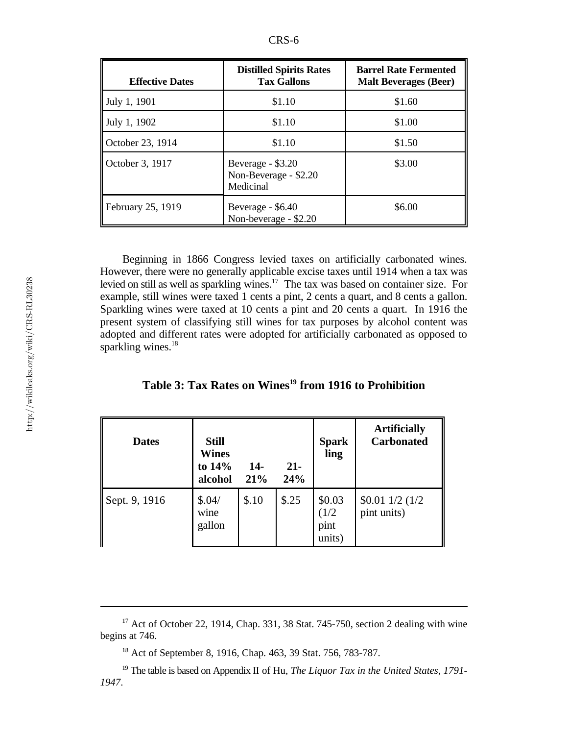|--|

| <b>Effective Dates</b> | <b>Distilled Spirits Rates</b><br><b>Tax Gallons</b>    | <b>Barrel Rate Fermented</b><br><b>Malt Beverages (Beer)</b> |
|------------------------|---------------------------------------------------------|--------------------------------------------------------------|
| July 1, 1901           | \$1.10                                                  | \$1.60                                                       |
| July 1, 1902           | \$1.10                                                  | \$1.00                                                       |
| October 23, 1914       | \$1.10                                                  | \$1.50                                                       |
| October 3, 1917        | Beverage - \$3.20<br>Non-Beverage - \$2.20<br>Medicinal | \$3.00                                                       |
| February 25, 1919      | Beverage - \$6.40<br>Non-beverage - \$2.20              | \$6.00                                                       |

Beginning in 1866 Congress levied taxes on artificially carbonated wines. However, there were no generally applicable excise taxes until 1914 when a tax was levied on still as well as sparkling wines.<sup>17</sup> The tax was based on container size. For example, still wines were taxed 1 cents a pint, 2 cents a quart, and 8 cents a gallon. Sparkling wines were taxed at 10 cents a pint and 20 cents a quart. In 1916 the present system of classifying still wines for tax purposes by alcohol content was adopted and different rates were adopted for artificially carbonated as opposed to sparkling wines. $18$ 

|  |  |  |  | Table 3: Tax Rates on Wines <sup>19</sup> from 1916 to Prohibition |
|--|--|--|--|--------------------------------------------------------------------|
|  |  |  |  |                                                                    |

| <b>Dates</b>  | <b>Still</b><br><b>Wines</b><br>to 14%<br>alcohol | $14-$<br>21% | $21-$<br>24% | <b>Spark</b><br>ling              | <b>Artificially</b><br><b>Carbonated</b> |
|---------------|---------------------------------------------------|--------------|--------------|-----------------------------------|------------------------------------------|
| Sept. 9, 1916 | \$.04/<br>wine<br>gallon                          | \$.10        | \$.25        | \$0.03<br>(1/2)<br>pint<br>units) | $$0.01$ $1/2$ $(1/2)$<br>pint units)     |

 $17$  Act of October 22, 1914, Chap. 331, 38 Stat. 745-750, section 2 dealing with wine begins at 746.

<sup>&</sup>lt;sup>18</sup> Act of September 8, 1916, Chap. 463, 39 Stat. 756, 783-787.

<sup>&</sup>lt;sup>19</sup> The table is based on Appendix II of Hu, *The Liquor Tax in the United States*, 1791-*1947*.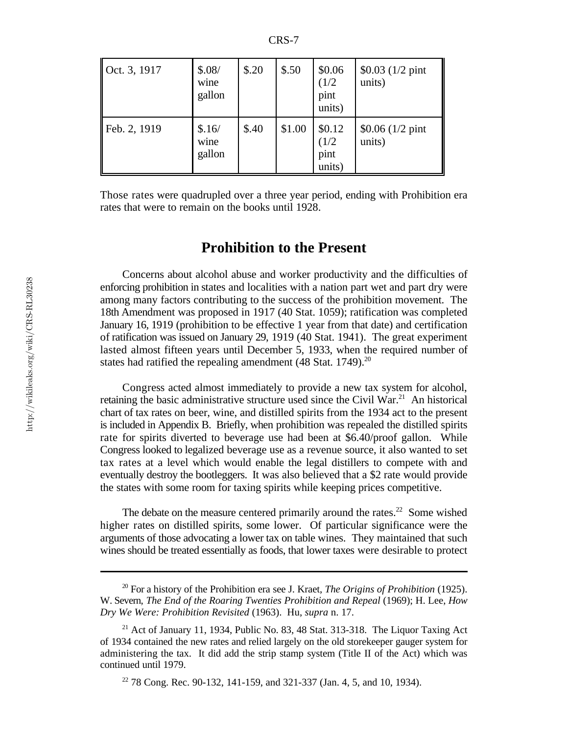| Oct. 3, 1917 | \$.08/<br>wine<br>gallon | \$.20 | \$.50  | \$0.06<br>(1/2)<br>pint<br>units) | $$0.03 (1/2$ pint<br>units) |
|--------------|--------------------------|-------|--------|-----------------------------------|-----------------------------|
| Feb. 2, 1919 | \$.16/<br>wine<br>gallon | \$.40 | \$1.00 | \$0.12<br>(1/2)<br>pint<br>units) | $$0.06 (1/2$ pint<br>units) |

Those rates were quadrupled over a three year period, ending with Prohibition era rates that were to remain on the books until 1928.

#### **Prohibition to the Present**

Concerns about alcohol abuse and worker productivity and the difficulties of enforcing prohibition in states and localities with a nation part wet and part dry were among many factors contributing to the success of the prohibition movement. The 18th Amendment was proposed in 1917 (40 Stat. 1059); ratification was completed January 16, 1919 (prohibition to be effective 1 year from that date) and certification of ratification was issued on January 29, 1919 (40 Stat. 1941). The great experiment lasted almost fifteen years until December 5, 1933, when the required number of states had ratified the repealing amendment  $(48 \text{ Stat. } 1749).^{20}$ 

Congress acted almost immediately to provide a new tax system for alcohol, retaining the basic administrative structure used since the Civil War.<sup>21</sup> An historical chart of tax rates on beer, wine, and distilled spirits from the 1934 act to the present is included in Appendix B. Briefly, when prohibition was repealed the distilled spirits rate for spirits diverted to beverage use had been at \$6.40/proof gallon. While Congress looked to legalized beverage use as a revenue source, it also wanted to set tax rates at a level which would enable the legal distillers to compete with and eventually destroy the bootleggers. It was also believed that a \$2 rate would provide the states with some room for taxing spirits while keeping prices competitive.

The debate on the measure centered primarily around the rates.<sup>22</sup> Some wished higher rates on distilled spirits, some lower. Of particular significance were the arguments of those advocating a lower tax on table wines. They maintained that such wines should be treated essentially as foods, that lower taxes were desirable to protect

 $^{20}$  For a history of the Prohibition era see J. Kraet, *The Origins of Prohibition* (1925). W. Severn, *The End of the Roaring Twenties Prohibition and Repeal* (1969); H. Lee, *How Dry We Were: Prohibition Revisited* (1963). Hu, *supra* n. 17.

<sup>&</sup>lt;sup>21</sup> Act of January 11, 1934, Public No. 83, 48 Stat. 313-318. The Liquor Taxing Act of 1934 contained the new rates and relied largely on the old storekeeper gauger system for administering the tax. It did add the strip stamp system (Title II of the Act) which was continued until 1979.

 $22$  78 Cong. Rec. 90-132, 141-159, and 321-337 (Jan. 4, 5, and 10, 1934).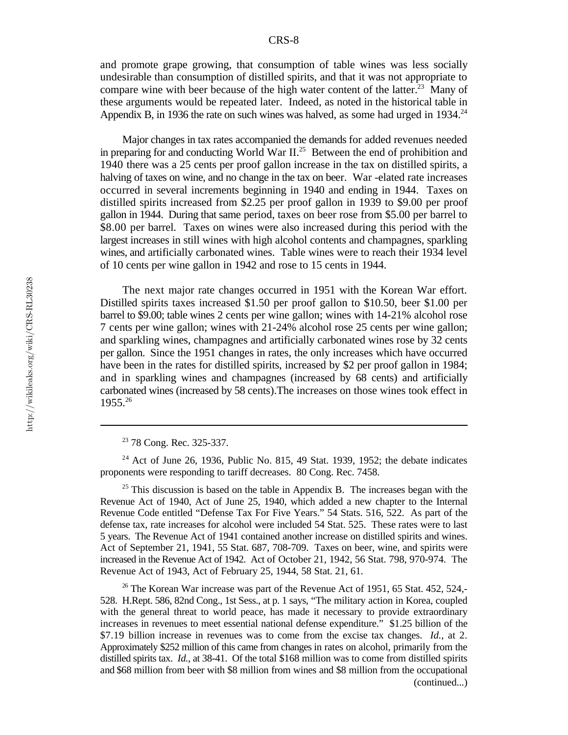and promote grape growing, that consumption of table wines was less socially undesirable than consumption of distilled spirits, and that it was not appropriate to compare wine with beer because of the high water content of the latter.<sup>23</sup> Many of these arguments would be repeated later. Indeed, as noted in the historical table in Appendix B, in 1936 the rate on such wines was halved, as some had urged in  $1934.^{24}$ 

Major changes in tax rates accompanied the demands for added revenues needed in preparing for and conducting World War II.<sup>25</sup> Between the end of prohibition and 1940 there was a 25 cents per proof gallon increase in the tax on distilled spirits, a halving of taxes on wine, and no change in the tax on beer. War -elated rate increases occurred in several increments beginning in 1940 and ending in 1944. Taxes on distilled spirits increased from \$2.25 per proof gallon in 1939 to \$9.00 per proof gallon in 1944. During that same period, taxes on beer rose from \$5.00 per barrel to \$8.00 per barrel. Taxes on wines were also increased during this period with the largest increases in still wines with high alcohol contents and champagnes, sparkling wines, and artificially carbonated wines. Table wines were to reach their 1934 level of 10 cents per wine gallon in 1942 and rose to 15 cents in 1944.

The next major rate changes occurred in 1951 with the Korean War effort. Distilled spirits taxes increased \$1.50 per proof gallon to \$10.50, beer \$1.00 per barrel to \$9.00; table wines 2 cents per wine gallon; wines with 14-21% alcohol rose 7 cents per wine gallon; wines with 21-24% alcohol rose 25 cents per wine gallon; and sparkling wines, champagnes and artificially carbonated wines rose by 32 cents per gallon. Since the 1951 changes in rates, the only increases which have occurred have been in the rates for distilled spirits, increased by \$2 per proof gallon in 1984; and in sparkling wines and champagnes (increased by 68 cents) and artificially carbonated wines (increased by 58 cents).The increases on those wines took effect in 1955.26

 $25$  This discussion is based on the table in Appendix B. The increases began with the Revenue Act of 1940, Act of June 25, 1940, which added a new chapter to the Internal Revenue Code entitled "Defense Tax For Five Years." 54 Stats. 516, 522. As part of the defense tax, rate increases for alcohol were included 54 Stat. 525. These rates were to last 5 years. The Revenue Act of 1941 contained another increase on distilled spirits and wines. Act of September 21, 1941, 55 Stat. 687, 708-709. Taxes on beer, wine, and spirits were increased in the Revenue Act of 1942. Act of October 21, 1942, 56 Stat. 798, 970-974. The Revenue Act of 1943, Act of February 25, 1944, 58 Stat. 21, 61.

<sup>26</sup> The Korean War increase was part of the Revenue Act of 1951, 65 Stat. 452, 524,-528. H.Rept. 586, 82nd Cong., 1st Sess., at p. 1 says, "The military action in Korea, coupled with the general threat to world peace, has made it necessary to provide extraordinary increases in revenues to meet essential national defense expenditure." \$1.25 billion of the \$7.19 billion increase in revenues was to come from the excise tax changes. *Id.*, at 2. Approximately \$252 million of this came from changes in rates on alcohol, primarily from the distilled spirits tax. *Id.*, at 38-41. Of the total \$168 million was to come from distilled spirits and \$68 million from beer with \$8 million from wines and \$8 million from the occupational (continued...)

<sup>&</sup>lt;sup>23</sup> 78 Cong. Rec. 325-337.

 $24$  Act of June 26, 1936, Public No. 815, 49 Stat. 1939, 1952; the debate indicates proponents were responding to tariff decreases. 80 Cong. Rec. 7458.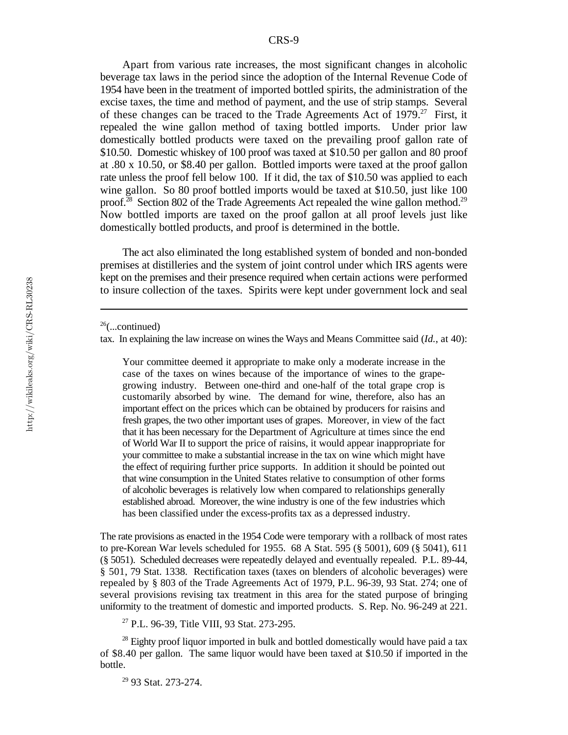Apart from various rate increases, the most significant changes in alcoholic beverage tax laws in the period since the adoption of the Internal Revenue Code of 1954 have been in the treatment of imported bottled spirits, the administration of the excise taxes, the time and method of payment, and the use of strip stamps. Several of these changes can be traced to the Trade Agreements Act of  $1979$ .<sup>27</sup> First, it repealed the wine gallon method of taxing bottled imports. Under prior law domestically bottled products were taxed on the prevailing proof gallon rate of \$10.50. Domestic whiskey of 100 proof was taxed at \$10.50 per gallon and 80 proof at .80 x 10.50, or \$8.40 per gallon. Bottled imports were taxed at the proof gallon rate unless the proof fell below 100. If it did, the tax of \$10.50 was applied to each wine gallon. So 80 proof bottled imports would be taxed at \$10.50, just like 100 proof.<sup>28</sup> Section 802 of the Trade Agreements Act repealed the wine gallon method.<sup>29</sup> Now bottled imports are taxed on the proof gallon at all proof levels just like domestically bottled products, and proof is determined in the bottle.

The act also eliminated the long established system of bonded and non-bonded premises at distilleries and the system of joint control under which IRS agents were kept on the premises and their presence required when certain actions were performed to insure collection of the taxes. Spirits were kept under government lock and seal

Your committee deemed it appropriate to make only a moderate increase in the case of the taxes on wines because of the importance of wines to the grapegrowing industry. Between one-third and one-half of the total grape crop is customarily absorbed by wine. The demand for wine, therefore, also has an important effect on the prices which can be obtained by producers for raisins and fresh grapes, the two other important uses of grapes. Moreover, in view of the fact that it has been necessary for the Department of Agriculture at times since the end of World War II to support the price of raisins, it would appear inappropriate for your committee to make a substantial increase in the tax on wine which might have the effect of requiring further price supports. In addition it should be pointed out that wine consumption in the United States relative to consumption of other forms of alcoholic beverages is relatively low when compared to relationships generally established abroad. Moreover, the wine industry is one of the few industries which has been classified under the excess-profits tax as a depressed industry.

The rate provisions as enacted in the 1954 Code were temporary with a rollback of most rates to pre-Korean War levels scheduled for 1955. 68 A Stat. 595 (§ 5001), 609 (§ 5041), 611 (§ 5051). Scheduled decreases were repeatedly delayed and eventually repealed. P.L. 89-44, § 501, 79 Stat. 1338. Rectification taxes (taxes on blenders of alcoholic beverages) were repealed by § 803 of the Trade Agreements Act of 1979, P.L. 96-39, 93 Stat. 274; one of several provisions revising tax treatment in this area for the stated purpose of bringing uniformity to the treatment of domestic and imported products. S. Rep. No. 96-249 at 221.

<sup>27</sup> P.L. 96-39, Title VIII, 93 Stat. 273-295.

 $28$  Eighty proof liquor imported in bulk and bottled domestically would have paid a tax of \$8.40 per gallon. The same liquor would have been taxed at \$10.50 if imported in the bottle.

<sup>29</sup> 93 Stat. 273-274.

 $26$ (...continued)

tax. In explaining the law increase on wines the Ways and Means Committee said (*Id.*, at 40):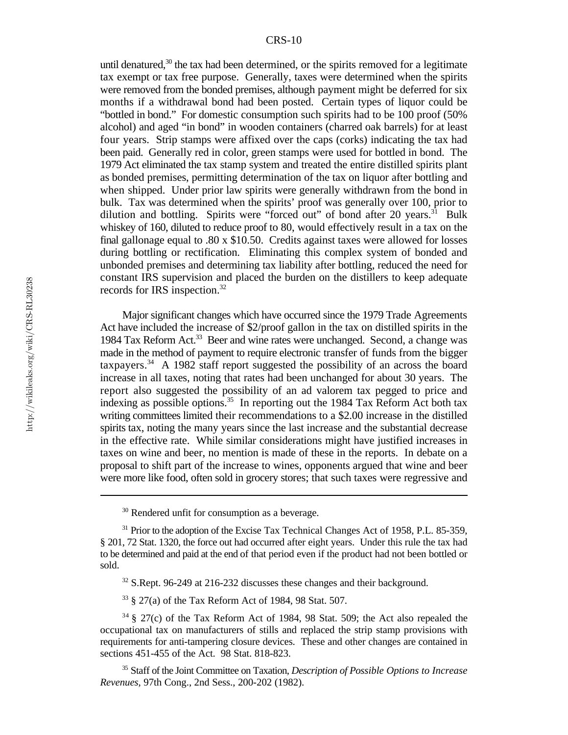until denatured,<sup>30</sup> the tax had been determined, or the spirits removed for a legitimate tax exempt or tax free purpose. Generally, taxes were determined when the spirits were removed from the bonded premises, although payment might be deferred for six months if a withdrawal bond had been posted. Certain types of liquor could be "bottled in bond." For domestic consumption such spirits had to be 100 proof (50% alcohol) and aged "in bond" in wooden containers (charred oak barrels) for at least four years. Strip stamps were affixed over the caps (corks) indicating the tax had been paid. Generally red in color, green stamps were used for bottled in bond. The 1979 Act eliminated the tax stamp system and treated the entire distilled spirits plant as bonded premises, permitting determination of the tax on liquor after bottling and when shipped. Under prior law spirits were generally withdrawn from the bond in bulk. Tax was determined when the spirits' proof was generally over 100, prior to dilution and bottling. Spirits were "forced out" of bond after 20 years. $31$  Bulk whiskey of 160, diluted to reduce proof to 80, would effectively result in a tax on the final gallonage equal to .80 x \$10.50. Credits against taxes were allowed for losses during bottling or rectification. Eliminating this complex system of bonded and unbonded premises and determining tax liability after bottling, reduced the need for constant IRS supervision and placed the burden on the distillers to keep adequate records for IRS inspection.<sup>32</sup>

Major significant changes which have occurred since the 1979 Trade Agreements Act have included the increase of \$2/proof gallon in the tax on distilled spirits in the 1984 Tax Reform Act.<sup>33</sup> Beer and wine rates were unchanged. Second, a change was made in the method of payment to require electronic transfer of funds from the bigger taxpayers.<sup>34</sup> A 1982 staff report suggested the possibility of an across the board increase in all taxes, noting that rates had been unchanged for about 30 years. The report also suggested the possibility of an ad valorem tax pegged to price and indexing as possible options.<sup>35</sup> In reporting out the 1984 Tax Reform Act both tax writing committees limited their recommendations to a \$2.00 increase in the distilled spirits tax, noting the many years since the last increase and the substantial decrease in the effective rate. While similar considerations might have justified increases in taxes on wine and beer, no mention is made of these in the reports. In debate on a proposal to shift part of the increase to wines, opponents argued that wine and beer were more like food, often sold in grocery stores; that such taxes were regressive and

 $32$  S.Rept. 96-249 at 216-232 discusses these changes and their background.

§ 27(a) of the Tax Reform Act of 1984, 98 Stat. 507. <sup>33</sup>

 $34 \text{ }\frac{1}{2}$  27(c) of the Tax Reform Act of 1984, 98 Stat. 509; the Act also repealed the occupational tax on manufacturers of stills and replaced the strip stamp provisions with requirements for anti-tampering closure devices. These and other changes are contained in sections 451-455 of the Act. 98 Stat. 818-823.

Staff of the Joint Committee on Taxation, *Description of Possible Options to Increase* <sup>35</sup> *Revenues*, 97th Cong., 2nd Sess., 200-202 (1982).

 $30$  Rendered unfit for consumption as a beverage.

 $31$  Prior to the adoption of the Excise Tax Technical Changes Act of 1958, P.L. 85-359, § 201, 72 Stat. 1320, the force out had occurred after eight years. Under this rule the tax had to be determined and paid at the end of that period even if the product had not been bottled or sold.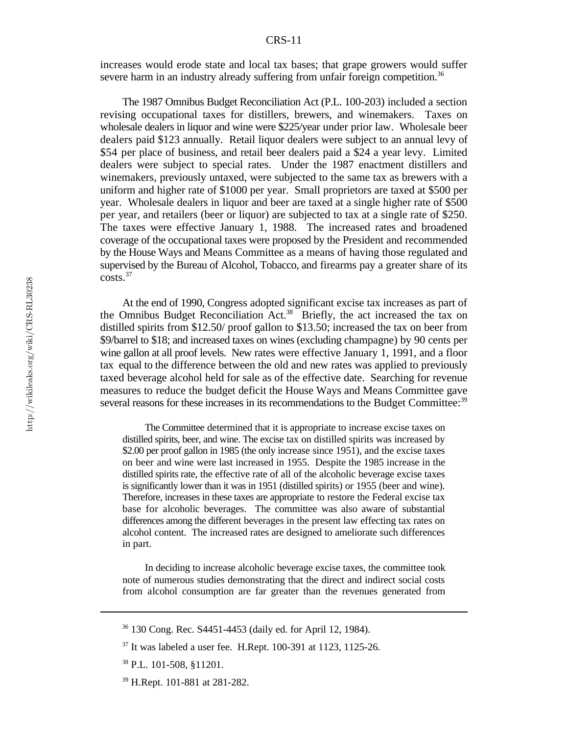increases would erode state and local tax bases; that grape growers would suffer severe harm in an industry already suffering from unfair foreign competition.<sup>36</sup>

The 1987 Omnibus Budget Reconciliation Act (P.L. 100-203) included a section revising occupational taxes for distillers, brewers, and winemakers. Taxes on wholesale dealers in liquor and wine were \$225/year under prior law. Wholesale beer dealers paid \$123 annually. Retail liquor dealers were subject to an annual levy of \$54 per place of business, and retail beer dealers paid a \$24 a year levy. Limited dealers were subject to special rates. Under the 1987 enactment distillers and winemakers, previously untaxed, were subjected to the same tax as brewers with a uniform and higher rate of \$1000 per year. Small proprietors are taxed at \$500 per year. Wholesale dealers in liquor and beer are taxed at a single higher rate of \$500 per year, and retailers (beer or liquor) are subjected to tax at a single rate of \$250. The taxes were effective January 1, 1988. The increased rates and broadened coverage of the occupational taxes were proposed by the President and recommended by the House Ways and Means Committee as a means of having those regulated and supervised by the Bureau of Alcohol, Tobacco, and firearms pay a greater share of its costs<sup>37</sup>

At the end of 1990, Congress adopted significant excise tax increases as part of the Omnibus Budget Reconciliation Act.<sup>38</sup> Briefly, the act increased the tax on distilled spirits from \$12.50/ proof gallon to \$13.50; increased the tax on beer from \$9/barrel to \$18; and increased taxes on wines (excluding champagne) by 90 cents per wine gallon at all proof levels. New rates were effective January 1, 1991, and a floor tax equal to the difference between the old and new rates was applied to previously taxed beverage alcohol held for sale as of the effective date. Searching for revenue measures to reduce the budget deficit the House Ways and Means Committee gave several reasons for these increases in its recommendations to the Budget Committee:<sup>39</sup>

The Committee determined that it is appropriate to increase excise taxes on distilled spirits, beer, and wine. The excise tax on distilled spirits was increased by \$2.00 per proof gallon in 1985 (the only increase since 1951), and the excise taxes on beer and wine were last increased in 1955. Despite the 1985 increase in the distilled spirits rate, the effective rate of all of the alcoholic beverage excise taxes is significantly lower than it was in 1951 (distilled spirits) or 1955 (beer and wine). Therefore, increases in these taxes are appropriate to restore the Federal excise tax base for alcoholic beverages. The committee was also aware of substantial differences among the different beverages in the present law effecting tax rates on alcohol content. The increased rates are designed to ameliorate such differences in part.

In deciding to increase alcoholic beverage excise taxes, the committee took note of numerous studies demonstrating that the direct and indirect social costs from alcohol consumption are far greater than the revenues generated from

<sup>&</sup>lt;sup>36</sup> 130 Cong. Rec. S4451-4453 (daily ed. for April 12, 1984).

 $37$  It was labeled a user fee. H.Rept. 100-391 at 1123, 1125-26.

 $38$  P.L. 101-508, §11201.

<sup>&</sup>lt;sup>39</sup> H.Rept. 101-881 at 281-282.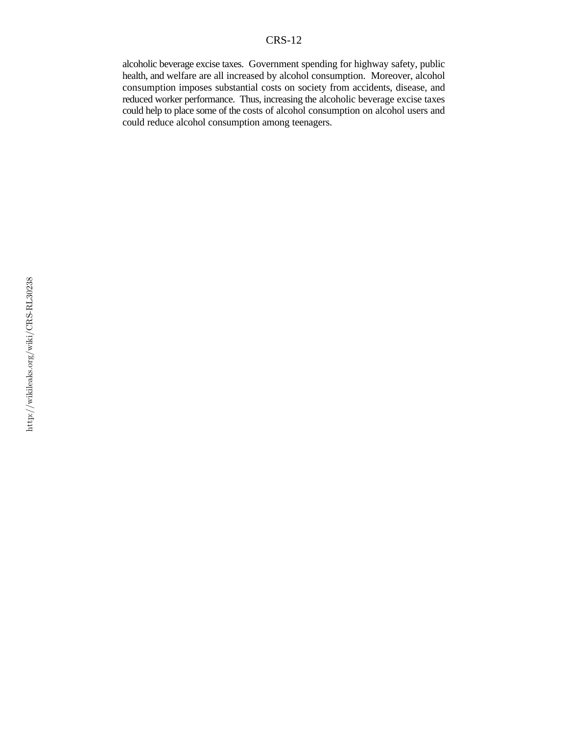alcoholic beverage excise taxes. Government spending for highway safety, public health, and welfare are all increased by alcohol consumption. Moreover, alcohol consumption imposes substantial costs on society from accidents, disease, and reduced worker performance. Thus, increasing the alcoholic beverage excise taxes could help to place some of the costs of alcohol consumption on alcohol users and could reduce alcohol consumption among teenagers.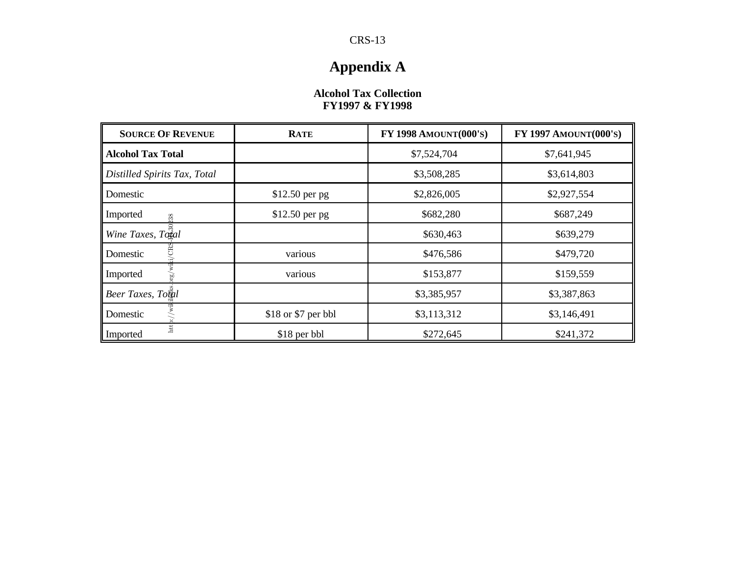# **Appendix A**

#### **Alcohol Tax Collection FY1997 & FY1998**

| <b>SOURCE OF REVENUE</b>     | <b>RATE</b>         | FY 1998 AMOUNT(000'S) | FY 1997 AMOUNT(000'S) |
|------------------------------|---------------------|-----------------------|-----------------------|
| <b>Alcohol Tax Total</b>     |                     | \$7,524,704           | \$7,641,945           |
| Distilled Spirits Tax, Total |                     | \$3,508,285           | \$3,614,803           |
| Domestic                     | $$12.50$ per pg     | \$2,826,005           | \$2,927,554           |
| Imported<br>38               | $$12.50$ per pg     | \$682,280             | \$687,249             |
| Wine Taxes, Total            |                     | \$630,463             | \$639,279             |
| Domestic                     | various             | \$476,586             | \$479,720             |
| Imported                     | various             | \$153,877             | \$159,559             |
| Beer Taxes, Total            |                     | \$3,385,957           | \$3,387,863           |
| Domestic                     | \$18 or \$7 per bbl | \$3,113,312           | \$3,146,491           |
| htt:<br>Imported             | \$18 per bbl        | \$272,645             | \$241,372             |